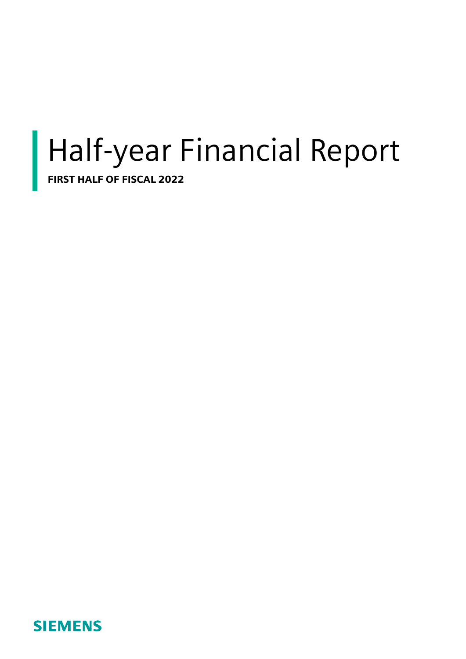# Half-year Financial Report

FIRST HALF OF FISCAL 2022

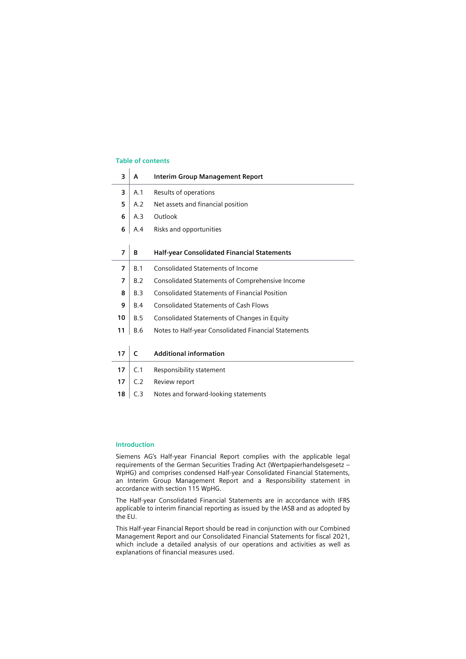### **Table of contents**

| 3              | A          | Interim Group Management Report                      |
|----------------|------------|------------------------------------------------------|
| 3              | A.1        | Results of operations                                |
| 5              | A.2        | Net assets and financial position                    |
| 6              | A.3        | Outlook                                              |
| 6              | A.4        | Risks and opportunities                              |
|                |            |                                                      |
| $\overline{7}$ | B          | <b>Half-year Consolidated Financial Statements</b>   |
| $\overline{7}$ | B.1        | <b>Consolidated Statements of Income</b>             |
| $\overline{7}$ | B.2        | Consolidated Statements of Comprehensive Income      |
| 8              | B.3        | <b>Consolidated Statements of Financial Position</b> |
| 9              | <b>B.4</b> | <b>Consolidated Statements of Cash Flows</b>         |
| 10             | B.5        | Consolidated Statements of Changes in Equity         |
| 11             | <b>B.6</b> | Notes to Half-year Consolidated Financial Statements |
|                |            |                                                      |
| 17             | C          | <b>Additional information</b>                        |
| 17             | C.1        | Responsibility statement                             |
| 17             | C.2        | Review report                                        |
| 18             | C.3        | Notes and forward-looking statements                 |

#### **Introduction**

Siemens AG's Half-year Financial Report complies with the applicable legal requirements of the German Securities Trading Act (Wertpapierhandelsgesetz – WpHG) and comprises condensed Half-year Consolidated Financial Statements, an Interim Group Management Report and a Responsibility statement in accordance with section 115 WpHG.

The Half-year Consolidated Financial Statements are in accordance with IFRS applicable to interim financial reporting as issued by the IASB and as adopted by the EU.

This Half-year Financial Report should be read in conjunction with our Combined Management Report and our Consolidated Financial Statements for fiscal 2021, which include a detailed analysis of our operations and activities as well as explanations of financial measures used.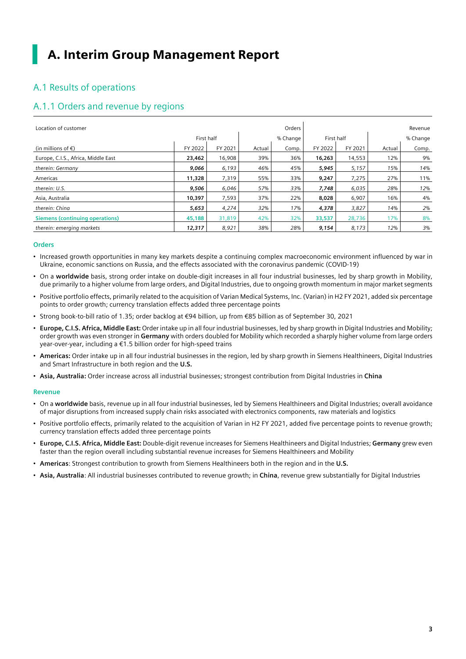# A. Interim Group Management Report

# A.1 Results of operations

### A.1.1 Orders and revenue by regions

| Location of customer                   |            |         |        | Orders   |            |         |          | Revenue |
|----------------------------------------|------------|---------|--------|----------|------------|---------|----------|---------|
|                                        | First half |         |        | % Change | First half |         | % Change |         |
| (in millions of $\epsilon$ )           | FY 2022    | FY 2021 | Actual | Comp.    | FY 2022    | FY 2021 | Actual   | Comp.   |
| Europe, C.I.S., Africa, Middle East    | 23,462     | 16,908  | 39%    | 36%      | 16,263     | 14,553  | 12%      | 9%      |
| therein: Germany                       | 9,066      | 6,193   | 46%    | 45%      | 5,945      | 5,157   | 15%      | 14%     |
| Americas                               | 11,328     | 7,319   | 55%    | 33%      | 9,247      | 7,275   | 27%      | 11%     |
| therein: U.S.                          | 9,506      | 6,046   | 57%    | 33%      | 7,748      | 6,035   | 28%      | 12%     |
| Asia, Australia                        | 10,397     | 7,593   | 37%    | 22%      | 8,028      | 6,907   | 16%      | 4%      |
| therein: China                         | 5,653      | 4,274   | 32%    | 17%      | 4,378      | 3,827   | 14%      | 2%      |
| <b>Siemens (continuing operations)</b> | 45,188     | 31,819  | 42%    | 32%      | 33,537     | 28,736  | 17%      | 8%      |
| therein: emerging markets              | 12,317     | 8,921   | 38%    | 28%      | 9,154      | 8,173   | 12%      | 3%      |

### **Orders**

- Increased growth opportunities in many key markets despite a continuing complex macroeconomic environment influenced by war in Ukraine, economic sanctions on Russia, and the effects associated with the coronavirus pandemic (COVID-19)
- On a **worldwide** basis, strong order intake on double-digit increases in all four industrial businesses, led by sharp growth in Mobility, due primarily to a higher volume from large orders, and Digital Industries, due to ongoing growth momentum in major market segments
- Positive portfolio effects, primarily related to the acquisition of Varian Medical Systems, Inc. (Varian) in H2 FY 2021, added six percentage points to order growth; currency translation effects added three percentage points
- Strong book-to-bill ratio of 1.35; order backlog at €94 billion, up from €85 billion as of September 30, 2021
- **Europe, C.I.S. Africa, Middle East:** Order intake up in all four industrial businesses, led by sharp growth in Digital Industries and Mobility; order growth was even stronger in **Germany** with orders doubled for Mobility which recorded a sharply higher volume from large orders year-over-year, including a €1.5 billion order for high-speed trains
- **Americas:** Order intake up in all four industrial businesses in the region, led by sharp growth in Siemens Healthineers, Digital Industries and Smart Infrastructure in both region and the **U.S.**
- **Asia, Australia:** Order increase across all industrial businesses; strongest contribution from Digital Industries in **China**

### **Revenue**

- On a **worldwide** basis, revenue up in all four industrial businesses, led by Siemens Healthineers and Digital Industries; overall avoidance of major disruptions from increased supply chain risks associated with electronics components, raw materials and logistics
- Positive portfolio effects, primarily related to the acquisition of Varian in H2 FY 2021, added five percentage points to revenue growth; currency translation effects added three percentage points
- **Europe, C.I.S. Africa, Middle East:** Double-digit revenue increases for Siemens Healthineers and Digital Industries; **Germany** grew even faster than the region overall including substantial revenue increases for Siemens Healthineers and Mobility
- **Americas**: Strongest contribution to growth from Siemens Healthineers both in the region and in the **U.S.**
- **Asia, Australia**: All industrial businesses contributed to revenue growth; in **China**, revenue grew substantially for Digital Industries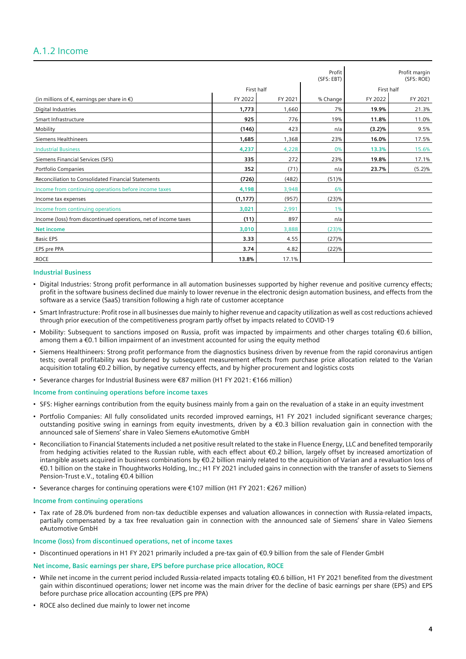### A.1.2 Income

|                                                                 |            |         | Profit<br>(SFS: EBT) |         | Profit margin<br>(SFS: ROE) |  |
|-----------------------------------------------------------------|------------|---------|----------------------|---------|-----------------------------|--|
|                                                                 | First half |         |                      |         | First half                  |  |
| (in millions of $\epsilon$ , earnings per share in $\epsilon$ ) | FY 2022    | FY 2021 | % Change             | FY 2022 | FY 2021                     |  |
| Digital Industries                                              | 1,773      | 1,660   | 7%                   | 19.9%   | 21.3%                       |  |
| Smart Infrastructure                                            | 925        | 776     | 19%                  | 11.8%   | 11.0%                       |  |
| Mobility                                                        | (146)      | 423     | n/a                  | (3.2)%  | 9.5%                        |  |
| <b>Siemens Healthineers</b>                                     | 1,685      | 1,368   | 23%                  | 16.0%   | 17.5%                       |  |
| <b>Industrial Business</b>                                      | 4,237      | 4,228   | 0%                   | 13.3%   | 15.6%                       |  |
| Siemens Financial Services (SFS)                                | 335        | 272     | 23%                  | 19.8%   | 17.1%                       |  |
| Portfolio Companies                                             | 352        | (71)    | n/a                  | 23.7%   | (5.2)%                      |  |
| Reconciliation to Consolidated Financial Statements             | (726)      | (482)   | (51)%                |         |                             |  |
| Income from continuing operations before income taxes           | 4,198      | 3,948   | 6%                   |         |                             |  |
| Income tax expenses                                             | (1, 177)   | (957)   | (23)%                |         |                             |  |
| Income from continuing operations                               | 3,021      | 2,991   | 1%                   |         |                             |  |
| Income (loss) from discontinued operations, net of income taxes | (11)       | 897     | n/a                  |         |                             |  |
| <b>Net income</b>                                               | 3,010      | 3,888   | (23)%                |         |                             |  |
| <b>Basic EPS</b>                                                | 3.33       | 4.55    | (27)%                |         |                             |  |
| EPS pre PPA                                                     | 3.74       | 4.82    | (22)%                |         |                             |  |
| <b>ROCE</b>                                                     | 13.8%      | 17.1%   |                      |         |                             |  |

### **Industrial Business**

- Digital Industries: Strong profit performance in all automation businesses supported by higher revenue and positive currency effects; profit in the software business declined due mainly to lower revenue in the electronic design automation business, and effects from the software as a service (SaaS) transition following a high rate of customer acceptance
- Smart Infrastructure: Profit rose in all businesses due mainly to higher revenue and capacity utilization as well as cost reductions achieved through prior execution of the competitiveness program partly offset by impacts related to COVID-19
- Mobility: Subsequent to sanctions imposed on Russia, profit was impacted by impairments and other charges totaling €0.6 billion, among them a €0.1 billion impairment of an investment accounted for using the equity method
- Siemens Healthineers: Strong profit performance from the diagnostics business driven by revenue from the rapid coronavirus antigen tests; overall profitability was burdened by subsequent measurement effects from purchase price allocation related to the Varian acquisition totaling €0.2 billion, by negative currency effects, and by higher procurement and logistics costs
- Severance charges for Industrial Business were €87 million (H1 FY 2021: €166 million)

#### **Income from continuing operations before income taxes**

- SFS: Higher earnings contribution from the equity business mainly from a gain on the revaluation of a stake in an equity investment
- Portfolio Companies: All fully consolidated units recorded improved earnings, H1 FY 2021 included significant severance charges; outstanding positive swing in earnings from equity investments, driven by a €0.3 billion revaluation gain in connection with the announced sale of Siemens' share in Valeo Siemens eAutomotive GmbH
- Reconciliation to Financial Statements included a net positive result related to the stake in Fluence Energy, LLC and benefited temporarily from hedging activities related to the Russian ruble, with each effect about €0.2 billion, largely offset by increased amortization of intangible assets acquired in business combinations by €0.2 billion mainly related to the acquisition of Varian and a revaluation loss of €0.1 billion on the stake in Thoughtworks Holding, Inc.; H1 FY 2021 included gains in connection with the transfer of assets to Siemens Pension-Trust e.V., totaling €0.4 billion
- Severance charges for continuing operations were €107 million (H1 FY 2021: €267 million)

#### **Income from continuing operations**

• Tax rate of 28.0% burdened from non-tax deductible expenses and valuation allowances in connection with Russia-related impacts, partially compensated by a tax free revaluation gain in connection with the announced sale of Siemens' share in Valeo Siemens eAutomotive GmbH

#### **Income (loss) from discontinued operations, net of income taxes**

• Discontinued operations in H1 FY 2021 primarily included a pre-tax gain of €0.9 billion from the sale of Flender GmbH

#### **Net income, Basic earnings per share, EPS before purchase price allocation, ROCE**

- While net income in the current period included Russia-related impacts totaling €0.6 billion, H1 FY 2021 benefited from the divestment gain within discontinued operations; lower net income was the main driver for the decline of basic earnings per share (EPS) and EPS before purchase price allocation accounting (EPS pre PPA)
- ROCE also declined due mainly to lower net income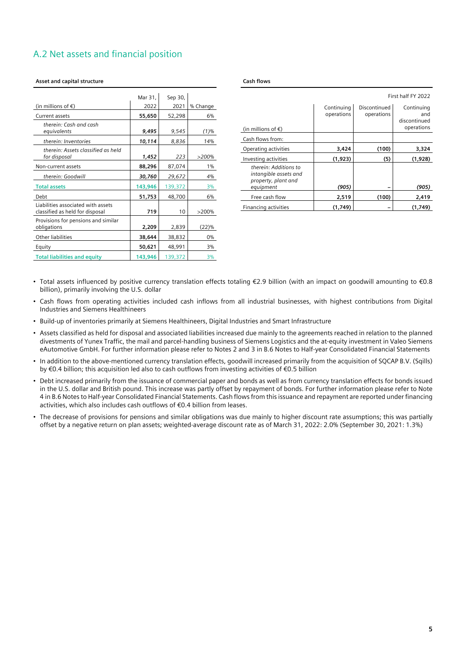# A.2 Net assets and financial position

|                                                                       | Mar 31, | Sep 30, |          |
|-----------------------------------------------------------------------|---------|---------|----------|
| (in millions of $\epsilon$ )                                          | 2022    | 2021    | % Change |
| Current assets                                                        | 55,650  | 52,298  | 6%       |
| therein: Cash and cash<br>equivalents                                 | 9,495   | 9,545   | $(1)\%$  |
| therein: Inventories                                                  | 10,114  | 8,836   | 14%      |
| therein: Assets classified as held<br>for disposal                    | 1,452   | 223     | >200%    |
| Non-current assets                                                    | 88,296  | 87,074  | $1\%$    |
| therein: Goodwill                                                     | 30,760  | 29,672  | 4%       |
| <b>Total assets</b>                                                   | 143,946 | 139,372 | 3%       |
| Debt                                                                  | 51,753  | 48,700  | 6%       |
| Liabilities associated with assets<br>classified as held for disposal | 719     | 10      | >200%    |
| Provisions for pensions and similar<br>obligations                    | 2,209   | 2,839   | (22)%    |
| Other liabilities                                                     | 38,644  | 38,832  | 0%       |
| Equity                                                                | 50,621  | 48,991  | 3%       |
| <b>Total liabilities and equity</b>                                   | 143,946 | 139,372 | 3%       |

#### **Asset and capital structure**

**Cash flows**

| First half FY 2022                                                                 |                          |                            |                                                 |  |  |  |  |
|------------------------------------------------------------------------------------|--------------------------|----------------------------|-------------------------------------------------|--|--|--|--|
| (in millions of $\epsilon$ )                                                       | Continuing<br>operations | Discontinued<br>operations | Continuing<br>and<br>discontinued<br>operations |  |  |  |  |
| Cash flows from:                                                                   |                          |                            |                                                 |  |  |  |  |
| Operating activities                                                               | 3,424                    | (100)                      | 3,324                                           |  |  |  |  |
| Investing activities                                                               | (1,923)                  | (5)                        | (1,928)                                         |  |  |  |  |
| therein: Additions to<br>intangible assets and<br>property, plant and<br>equipment | (905)                    |                            | (905)                                           |  |  |  |  |
| Free cash flow                                                                     | 2,519                    | (100)                      | 2,419                                           |  |  |  |  |
| Financing activities                                                               | (1,749)                  |                            | (1,749)                                         |  |  |  |  |

- Total assets influenced by positive currency translation effects totaling €2.9 billion (with an impact on goodwill amounting to €0.8 billion), primarily involving the U.S. dollar
- Cash flows from operating activities included cash inflows from all industrial businesses, with highest contributions from Digital Industries and Siemens Healthineers
- Build-up of inventories primarily at Siemens Healthineers, Digital Industries and Smart Infrastructure
- Assets classified as held for disposal and associated liabilities increased due mainly to the agreements reached in relation to the planned divestments of Yunex Traffic, the mail and parcel-handling business of Siemens Logistics and the at-equity investment in Valeo Siemens eAutomotive GmbH. For further information please refer to Notes 2 and 3 in B.6 Notes to Half-year Consolidated Financial Statements
- In addition to the above-mentioned currency translation effects, goodwill increased primarily from the acquisition of SQCAP B.V. (Sqills) by €0.4 billion; this acquisition led also to cash outflows from investing activities of €0.5 billion
- Debt increased primarily from the issuance of commercial paper and bonds as well as from currency translation effects for bonds issued in the U.S. dollar and British pound. This increase was partly offset by repayment of bonds. For further information please refer to Note 4 in B.6 Notes to Half-year Consolidated Financial Statements. Cash flows from this issuance and repayment are reported under financing activities, which also includes cash outflows of €0.4 billion from leases.
- The decrease of provisions for pensions and similar obligations was due mainly to higher discount rate assumptions; this was partially offset by a negative return on plan assets; weighted-average discount rate as of March 31, 2022: 2.0% (September 30, 2021: 1.3%)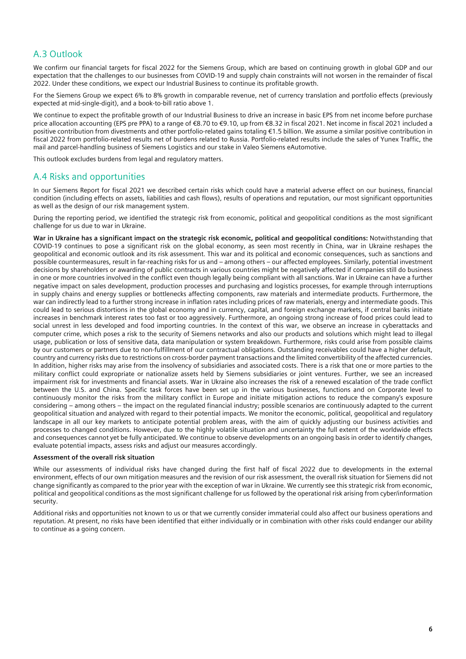# A.3 Outlook

We confirm our financial targets for fiscal 2022 for the Siemens Group, which are based on continuing growth in global GDP and our expectation that the challenges to our businesses from COVID-19 and supply chain constraints will not worsen in the remainder of fiscal 2022. Under these conditions, we expect our Industrial Business to continue its profitable growth.

For the Siemens Group we expect 6% to 8% growth in comparable revenue, net of currency translation and portfolio effects (previously expected at mid-single-digit), and a book-to-bill ratio above 1.

We continue to expect the profitable growth of our Industrial Business to drive an increase in basic EPS from net income before purchase price allocation accounting (EPS pre PPA) to a range of €8.70 to €9.10, up from €8.32 in fiscal 2021. Net income in fiscal 2021 included a positive contribution from divestments and other portfolio-related gains totaling €1.5 billion. We assume a similar positive contribution in fiscal 2022 from portfolio-related results net of burdens related to Russia. Portfolio-related results include the sales of Yunex Traffic, the mail and parcel-handling business of Siemens Logistics and our stake in Valeo Siemens eAutomotive.

This outlook excludes burdens from legal and regulatory matters.

### A.4 Risks and opportunities

In our Siemens Report for fiscal 2021 we described certain risks which could have a material adverse effect on our business, financial condition (including effects on assets, liabilities and cash flows), results of operations and reputation, our most significant opportunities as well as the design of our risk management system.

During the reporting period, we identified the strategic risk from economic, political and geopolitical conditions as the most significant challenge for us due to war in Ukraine.

**War in Ukraine has a significant impact on the strategic risk economic, political and geopolitical conditions:** Notwithstanding that COVID-19 continues to pose a significant risk on the global economy, as seen most recently in China, war in Ukraine reshapes the geopolitical and economic outlook and its risk assessment. This war and its political and economic consequences, such as sanctions and possible countermeasures, result in far-reaching risks for us and – among others – our affected employees. Similarly, potential investment decisions by shareholders or awarding of public contracts in various countries might be negatively affected if companies still do business in one or more countries involved in the conflict even though legally being compliant with all sanctions. War in Ukraine can have a further negative impact on sales development, production processes and purchasing and logistics processes, for example through interruptions in supply chains and energy supplies or bottlenecks affecting components, raw materials and intermediate products. Furthermore, the war can indirectly lead to a further strong increase in inflation rates including prices of raw materials, energy and intermediate goods. This could lead to serious distortions in the global economy and in currency, capital, and foreign exchange markets, if central banks initiate increases in benchmark interest rates too fast or too aggressively. Furthermore, an ongoing strong increase of food prices could lead to social unrest in less developed and food importing countries. In the context of this war, we observe an increase in cyberattacks and computer crime, which poses a risk to the security of Siemens networks and also our products and solutions which might lead to illegal usage, publication or loss of sensitive data, data manipulation or system breakdown. Furthermore, risks could arise from possible claims by our customers or partners due to non-fulfillment of our contractual obligations. Outstanding receivables could have a higher default, country and currency risks due to restrictions on cross-border payment transactions and the limited convertibility of the affected currencies. In addition, higher risks may arise from the insolvency of subsidiaries and associated costs. There is a risk that one or more parties to the military conflict could expropriate or nationalize assets held by Siemens subsidiaries or joint ventures. Further, we see an increased impairment risk for investments and financial assets. War in Ukraine also increases the risk of a renewed escalation of the trade conflict between the U.S. and China. Specific task forces have been set up in the various businesses, functions and on Corporate level to continuously monitor the risks from the military conflict in Europe and initiate mitigation actions to reduce the company's exposure considering – among others – the impact on the regulated financial industry; possible scenarios are continuously adapted to the current geopolitical situation and analyzed with regard to their potential impacts. We monitor the economic, political, geopolitical and regulatory landscape in all our key markets to anticipate potential problem areas, with the aim of quickly adjusting our business activities and processes to changed conditions. However, due to the highly volatile situation and uncertainty the full extent of the worldwide effects and consequences cannot yet be fully anticipated. We continue to observe developments on an ongoing basis in order to identify changes, evaluate potential impacts, assess risks and adjust our measures accordingly.

### **Assessment of the overall risk situation**

While our assessments of individual risks have changed during the first half of fiscal 2022 due to developments in the external environment, effects of our own mitigation measures and the revision of our risk assessment, the overall risk situation for Siemens did not change significantly as compared to the prior year with the exception of war in Ukraine. We currently see this strategic risk from economic, political and geopolitical conditions as the most significant challenge for us followed by the operational risk arising from cyber/information security.

Additional risks and opportunities not known to us or that we currently consider immaterial could also affect our business operations and reputation. At present, no risks have been identified that either individually or in combination with other risks could endanger our ability to continue as a going concern.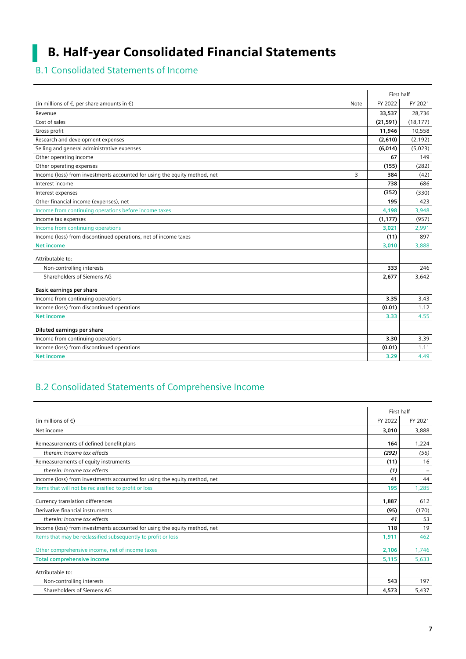# B. Half-year Consolidated Financial Statements

# B.1 Consolidated Statements of Income

I.

|                                                                                | First half |           |
|--------------------------------------------------------------------------------|------------|-----------|
| (in millions of $\epsilon$ , per share amounts in $\epsilon$ )<br>Note         | FY 2022    | FY 2021   |
| Revenue                                                                        | 33,537     | 28,736    |
| Cost of sales                                                                  | (21, 591)  | (18, 177) |
| Gross profit                                                                   | 11,946     | 10,558    |
| Research and development expenses                                              | (2,610)    | (2, 192)  |
| Selling and general administrative expenses                                    | (6,014)    | (5,023)   |
| Other operating income                                                         | 67         | 149       |
| Other operating expenses                                                       | (155)      | (282)     |
| Income (loss) from investments accounted for using the equity method, net<br>3 | 384        | (42)      |
| Interest income                                                                | 738        | 686       |
| Interest expenses                                                              | (352)      | (330)     |
| Other financial income (expenses), net                                         | 195        | 423       |
| Income from continuing operations before income taxes                          | 4,198      | 3,948     |
| Income tax expenses                                                            | (1, 177)   | (957)     |
| Income from continuing operations                                              | 3,021      | 2,991     |
| Income (loss) from discontinued operations, net of income taxes                | (11)       | 897       |
| <b>Net income</b>                                                              | 3,010      | 3,888     |
| Attributable to:                                                               |            |           |
| Non-controlling interests                                                      | 333        | 246       |
| Shareholders of Siemens AG                                                     | 2,677      | 3,642     |
| <b>Basic earnings per share</b>                                                |            |           |
| Income from continuing operations                                              | 3.35       | 3.43      |
| Income (loss) from discontinued operations                                     | (0.01)     | 1.12      |
| <b>Net income</b>                                                              | 3.33       | 4.55      |
| Diluted earnings per share                                                     |            |           |
| Income from continuing operations                                              | 3.30       | 3.39      |
| Income (loss) from discontinued operations                                     | (0.01)     | 1.11      |
| <b>Net income</b>                                                              | 3.29       | 4.49      |

# B.2 Consolidated Statements of Comprehensive Income

|                                                                           |         | First half |
|---------------------------------------------------------------------------|---------|------------|
| (in millions of $\epsilon$ )                                              | FY 2022 | FY 2021    |
| Net income                                                                | 3,010   | 3,888      |
| Remeasurements of defined benefit plans                                   | 164     | 1,224      |
| therein: Income tax effects                                               | (292)   | (56)       |
| Remeasurements of equity instruments                                      | (11)    | 16         |
| therein: Income tax effects                                               | (1)     |            |
| Income (loss) from investments accounted for using the equity method, net | 41      | 44         |
| Items that will not be reclassified to profit or loss                     | 195     | 1,285      |
| Currency translation differences                                          | 1,887   | 612        |
| Derivative financial instruments                                          | (95)    | (170)      |
| therein: Income tax effects                                               | 41      | 53         |
| Income (loss) from investments accounted for using the equity method, net | 118     | 19         |
| Items that may be reclassified subsequently to profit or loss             | 1,911   | 462        |
| Other comprehensive income, net of income taxes                           | 2,106   | 1,746      |
| <b>Total comprehensive income</b>                                         | 5,115   | 5,633      |
| Attributable to:                                                          |         |            |
| Non-controlling interests                                                 | 543     | 197        |
| Shareholders of Siemens AG                                                | 4,573   | 5,437      |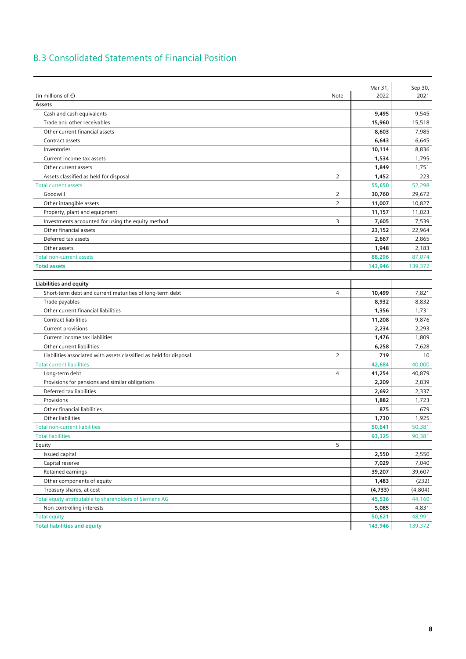# B.3 Consolidated Statements of Financial Position

|                                                                    |                | Mar 31, | Sep 30, |
|--------------------------------------------------------------------|----------------|---------|---------|
| (in millions of $\epsilon$ )                                       | Note           | 2022    | 2021    |
| Assets                                                             |                |         |         |
| Cash and cash equivalents                                          |                | 9,495   | 9,545   |
| Trade and other receivables                                        |                | 15,960  | 15,518  |
| Other current financial assets                                     |                | 8,603   | 7,985   |
| Contract assets                                                    |                | 6,643   | 6,645   |
| Inventories                                                        |                | 10,114  | 8,836   |
| Current income tax assets                                          |                | 1,534   | 1,795   |
| Other current assets                                               |                | 1,849   | 1,751   |
| Assets classified as held for disposal                             | $\overline{2}$ | 1,452   | 223     |
| <b>Total current assets</b>                                        |                | 55,650  | 52,298  |
| Goodwill                                                           | 2              | 30,760  | 29,672  |
| Other intangible assets                                            | $\overline{2}$ | 11,007  | 10,827  |
| Property, plant and equipment                                      |                | 11,157  | 11,023  |
| Investments accounted for using the equity method                  | 3              | 7,605   | 7,539   |
| Other financial assets                                             |                | 23,152  | 22,964  |
| Deferred tax assets                                                |                | 2,667   | 2,865   |
| Other assets                                                       |                | 1,948   | 2,183   |
| <b>Total non-current assets</b>                                    |                | 88,296  | 87,074  |
| <b>Total assets</b>                                                |                | 143,946 | 139,372 |
|                                                                    |                |         |         |
| <b>Liabilities and equity</b>                                      |                |         |         |
| Short-term debt and current maturities of long-term debt           | $\overline{4}$ | 10,499  | 7,821   |
| Trade payables                                                     |                | 8,932   | 8,832   |
| Other current financial liabilities                                |                | 1,356   | 1,731   |
| <b>Contract liabilities</b>                                        |                | 11,208  | 9,876   |
| Current provisions                                                 |                | 2,234   | 2,293   |
| Current income tax liabilities                                     |                | 1,476   | 1,809   |
| Other current liabilities                                          |                | 6,258   | 7,628   |
| Liabilities associated with assets classified as held for disposal | $\overline{2}$ | 719     | 10      |
| <b>Total current liabilities</b>                                   |                | 42,684  | 40,000  |
| Long-term debt                                                     | 4              | 41,254  | 40,879  |
| Provisions for pensions and similar obligations                    |                | 2,209   | 2,839   |
| Deferred tax liabilities                                           |                | 2,692   | 2,337   |
| Provisions                                                         |                | 1,882   | 1,723   |
| Other financial liabilities                                        |                | 875     | 679     |
| Other liabilities                                                  |                | 1,730   | 1,925   |
| <b>Total non-current liabilities</b>                               |                | 50,641  | 50,381  |
| <b>Total liabilities</b>                                           |                | 93,325  | 90,381  |
| Equity                                                             | 5              |         |         |
| Issued capital                                                     |                | 2,550   | 2,550   |
| Capital reserve                                                    |                | 7,029   | 7,040   |
| Retained earnings                                                  |                | 39,207  | 39,607  |
| Other components of equity                                         |                | 1,483   | (232)   |
| Treasury shares, at cost                                           |                | (4,733) | (4,804) |
| Total equity attributable to shareholders of Siemens AG            |                | 45,536  | 44,160  |
| Non-controlling interests                                          |                | 5,085   | 4,831   |
| <b>Total equity</b>                                                |                | 50,621  | 48,991  |
| <b>Total liabilities and equity</b>                                |                | 143,946 | 139,372 |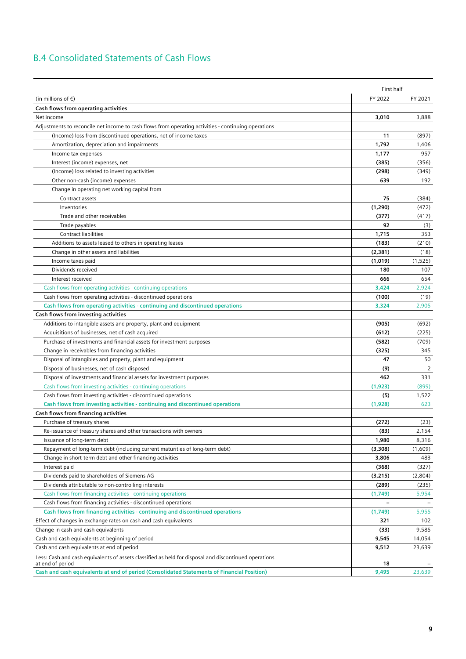# B.4 Consolidated Statements of Cash Flows

|                                                                                                                           |          | First half |
|---------------------------------------------------------------------------------------------------------------------------|----------|------------|
| (in millions of $\epsilon$ )                                                                                              | FY 2022  | FY 2021    |
| Cash flows from operating activities                                                                                      |          |            |
| Net income                                                                                                                | 3,010    | 3,888      |
| Adjustments to reconcile net income to cash flows from operating activities - continuing operations                       |          |            |
| (Income) loss from discontinued operations, net of income taxes                                                           | 11       | (897)      |
| Amortization, depreciation and impairments                                                                                | 1,792    | 1,406      |
| Income tax expenses                                                                                                       | 1,177    | 957        |
| Interest (income) expenses, net                                                                                           | (385)    | (356)      |
| (Income) loss related to investing activities                                                                             | (298)    | (349)      |
| Other non-cash (income) expenses                                                                                          | 639      | 192        |
| Change in operating net working capital from                                                                              |          |            |
| Contract assets                                                                                                           | 75       | (384)      |
| Inventories                                                                                                               | (1, 290) | (472)      |
| Trade and other receivables                                                                                               | (377)    | (417)      |
| Trade payables                                                                                                            | 92       | (3)        |
| <b>Contract liabilities</b>                                                                                               | 1,715    | 353        |
| Additions to assets leased to others in operating leases                                                                  | (183)    | (210)      |
| Change in other assets and liabilities                                                                                    | (2,381)  | (18)       |
| Income taxes paid                                                                                                         | (1,019)  | (1, 525)   |
| Dividends received                                                                                                        | 180      | 107        |
| Interest received                                                                                                         | 666      | 654        |
| Cash flows from operating activities - continuing operations                                                              | 3,424    | 2,924      |
| Cash flows from operating activities - discontinued operations                                                            | (100)    | (19)       |
| Cash flows from operating activities - continuing and discontinued operations                                             | 3,324    | 2,905      |
| Cash flows from investing activities                                                                                      |          |            |
| Additions to intangible assets and property, plant and equipment                                                          | (905)    | (692)      |
| Acquisitions of businesses, net of cash acquired                                                                          | (612)    | (225)      |
| Purchase of investments and financial assets for investment purposes                                                      | (582)    | (709)      |
|                                                                                                                           | (325)    | 345        |
| Change in receivables from financing activities<br>Disposal of intangibles and property, plant and equipment              | 47       | 50         |
| Disposal of businesses, net of cash disposed                                                                              | (9)      | 2          |
| Disposal of investments and financial assets for investment purposes                                                      | 462      | 331        |
| Cash flows from investing activities - continuing operations                                                              | (1, 923) | (899)      |
| Cash flows from investing activities - discontinued operations                                                            | (5)      | 1,522      |
| Cash flows from investing activities - continuing and discontinued operations                                             | (1,928)  | 623        |
| Cash flows from financing activities                                                                                      |          |            |
| Purchase of treasury shares                                                                                               | (272)    | (23)       |
| Re-issuance of treasury shares and other transactions with owners                                                         | (83)     | 2,154      |
| Issuance of long-term debt                                                                                                | 1,980    | 8,316      |
| Repayment of long-term debt (including current maturities of long-term debt)                                              | (3,308)  | (1,609)    |
| Change in short-term debt and other financing activities                                                                  | 3,806    | 483        |
| Interest paid                                                                                                             | (368)    | (327)      |
| Dividends paid to shareholders of Siemens AG                                                                              | (3,215)  | (2,804)    |
| Dividends attributable to non-controlling interests                                                                       | (289)    | (235)      |
| Cash flows from financing activities - continuing operations                                                              | (1,749)  | 5,954      |
| Cash flows from financing activities - discontinued operations                                                            |          |            |
| Cash flows from financing activities - continuing and discontinued operations                                             | (1,749)  | 5,955      |
| Effect of changes in exchange rates on cash and cash equivalents                                                          | 321      | 102        |
| Change in cash and cash equivalents                                                                                       | (33)     | 9,585      |
| Cash and cash equivalents at beginning of period                                                                          | 9,545    | 14,054     |
| Cash and cash equivalents at end of period                                                                                | 9,512    | 23,639     |
|                                                                                                                           |          |            |
| Less: Cash and cash equivalents of assets classified as held for disposal and discontinued operations<br>at end of period | 18       |            |
| Cash and cash equivalents at end of period (Consolidated Statements of Financial Position)                                | 9,495    | 23,639     |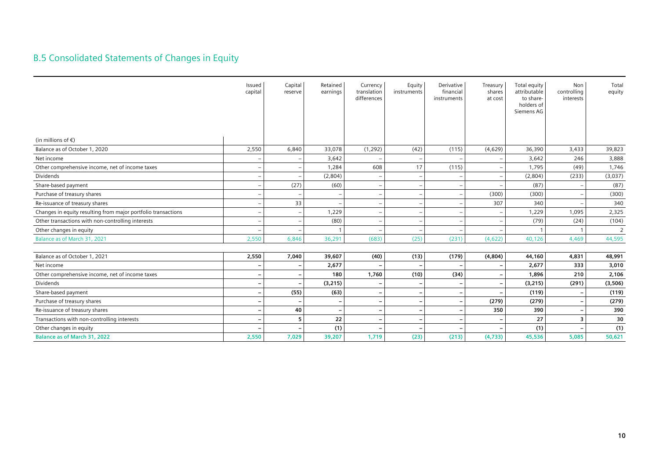# B.5 Consolidated Statements of Changes in Equity

|                                                               | Issued<br>capital        | Capital<br>reserve | Retained<br>earnings     | Currency<br>translation<br>differences | Equity<br>instruments    | Derivative<br>financial<br>instruments | Treasury<br>shares<br>at cost | Total equity<br>attributable<br>to share-<br>holders of<br>Siemens AG | Non<br>controlling<br>interests | Total<br>equity |
|---------------------------------------------------------------|--------------------------|--------------------|--------------------------|----------------------------------------|--------------------------|----------------------------------------|-------------------------------|-----------------------------------------------------------------------|---------------------------------|-----------------|
| (in millions of $\epsilon$ )                                  |                          |                    |                          |                                        |                          |                                        |                               |                                                                       |                                 |                 |
| Balance as of October 1, 2020                                 | 2,550                    | 6,840              | 33,078                   | (1, 292)                               | (42)                     | (115)                                  | (4,629)                       | 36,390                                                                | 3,433                           | 39,823          |
| Net income                                                    | $\qquad \qquad -$        |                    | 3,642                    |                                        |                          |                                        |                               | 3,642                                                                 | 246                             | 3,888           |
| Other comprehensive income, net of income taxes               | $\qquad \qquad -$        |                    | 1,284                    | 608                                    | 17                       | (115)                                  |                               | 1,795                                                                 | (49)                            | 1,746           |
| Dividends                                                     | $\overline{\phantom{m}}$ |                    | (2,804)                  | $\overline{\phantom{a}}$               |                          |                                        |                               | (2,804)                                                               | (233)                           | (3,037)         |
| Share-based payment                                           | $\overline{\phantom{m}}$ | (27)               | (60)                     |                                        |                          |                                        |                               | (87)                                                                  |                                 | (87)            |
| Purchase of treasury shares                                   | $\overline{\phantom{0}}$ |                    | $\overline{\phantom{0}}$ |                                        |                          |                                        | (300)                         | (300)                                                                 |                                 | (300)           |
| Re-issuance of treasury shares                                | $\overline{\phantom{0}}$ | 33                 | $\overline{\phantom{0}}$ |                                        |                          |                                        | 307                           | 340                                                                   |                                 | 340             |
| Changes in equity resulting from major portfolio transactions | $\overline{\phantom{0}}$ |                    | 1,229                    |                                        |                          |                                        |                               | 1,229                                                                 | 1,095                           | 2,325           |
| Other transactions with non-controlling interests             |                          |                    | (80)                     |                                        |                          |                                        |                               | (79)                                                                  | (24)                            | (104)           |
| Other changes in equity                                       |                          |                    |                          |                                        |                          |                                        |                               |                                                                       |                                 | $\overline{2}$  |
| Balance as of March 31, 2021                                  | 2,550                    | 6,846              | 36,291                   | (683)                                  | (25)                     | (231)                                  | (4,622)                       | 40,126                                                                | 4,469                           | 44,595          |
| Balance as of October 1, 2021                                 | 2,550                    | 7,040              | 39,607                   | (40)                                   | (13)                     | (179)                                  | (4,804)                       | 44,160                                                                | 4,831                           | 48,991          |
| Net income                                                    |                          |                    | 2,677                    |                                        |                          |                                        |                               | 2,677                                                                 | 333                             | 3,010           |
| Other comprehensive income, net of income taxes               | $\qquad \qquad -$        |                    | 180                      | 1,760                                  | (10)                     | (34)                                   |                               | 1,896                                                                 | 210                             | 2,106           |
| Dividends                                                     | $\qquad \qquad -$        |                    | (3,215)                  |                                        |                          |                                        |                               | (3,215)                                                               | (291)                           | (3,506)         |
| Share-based payment                                           | $\overline{\phantom{m}}$ | (55)               | (63)                     |                                        | ٠                        |                                        |                               | (119)                                                                 |                                 | (119)           |
| Purchase of treasury shares                                   | $\overline{\phantom{m}}$ |                    | $\overline{\phantom{0}}$ |                                        |                          |                                        | (279)                         | (279)                                                                 | $\overline{\phantom{0}}$        | (279)           |
| Re-issuance of treasury shares                                | $\overline{\phantom{a}}$ | 40                 | $\overline{\phantom{a}}$ |                                        |                          |                                        | 350                           | 390                                                                   |                                 | 390             |
| Transactions with non-controlling interests                   | $\overline{\phantom{a}}$ | 5                  | 22                       |                                        | $\overline{\phantom{0}}$ |                                        |                               | 27                                                                    | 3                               | 30              |
| Other changes in equity                                       | $\qquad \qquad$          |                    | (1)                      |                                        |                          |                                        |                               | (1)                                                                   |                                 | (1)             |
| <b>Balance as of March 31, 2022</b>                           | 2,550                    | 7,029              | 39,207                   | 1,719                                  | (23)                     | (213)                                  | (4, 733)                      | 45,536                                                                | 5,085                           | 50,621          |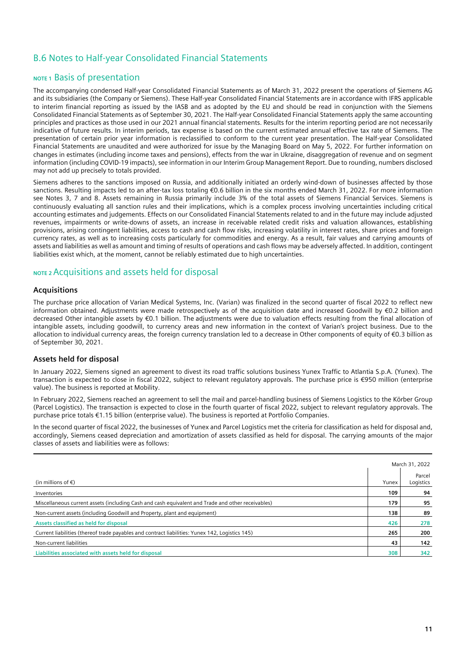# B.6 Notes to Half-year Consolidated Financial Statements

### **NOTE 1 Basis of presentation**

The accompanying condensed Half-year Consolidated Financial Statements as of March 31, 2022 present the operations of Siemens AG and its subsidiaries (the Company or Siemens). These Half-year Consolidated Financial Statements are in accordance with IFRS applicable to interim financial reporting as issued by the IASB and as adopted by the EU and should be read in conjunction with the Siemens Consolidated Financial Statements as of September 30, 2021. The Half-year Consolidated Financial Statements apply the same accounting principles and practices as those used in our 2021 annual financial statements. Results for the interim reporting period are not necessarily indicative of future results. In interim periods, tax expense is based on the current estimated annual effective tax rate of Siemens. The presentation of certain prior year information is reclassified to conform to the current year presentation. The Half-year Consolidated Financial Statements are unaudited and were authorized for issue by the Managing Board on May 5, 2022. For further information on changes in estimates (including income taxes and pensions), effects from the war in Ukraine, disaggregation of revenue and on segment information (including COVID-19 impacts), see information in our Interim Group Management Report. Due to rounding, numbers disclosed may not add up precisely to totals provided.

Siemens adheres to the sanctions imposed on Russia, and additionally initiated an orderly wind-down of businesses affected by those sanctions. Resulting impacts led to an after-tax loss totaling €0.6 billion in the six months ended March 31, 2022. For more information see Notes 3, 7 and 8. Assets remaining in Russia primarily include 3% of the total assets of Siemens Financial Services. Siemens is continuously evaluating all sanction rules and their implications, which is a complex process involving uncertainties including critical accounting estimates and judgements. Effects on our Consolidated Financial Statements related to and in the future may include adjusted revenues, impairments or write-downs of assets, an increase in receivable related credit risks and valuation allowances, establishing provisions, arising contingent liabilities, access to cash and cash flow risks, increasing volatility in interest rates, share prices and foreign currency rates, as well as to increasing costs particularly for commodities and energy. As a result, fair values and carrying amounts of assets and liabilities as well as amount and timing of results of operations and cash flows may be adversely affected. In addition, contingent liabilities exist which, at the moment, cannot be reliably estimated due to high uncertainties.

### **NOTE 2** Acquisitions and assets held for disposal

### **Acquisitions**

The purchase price allocation of Varian Medical Systems, Inc. (Varian) was finalized in the second quarter of fiscal 2022 to reflect new information obtained. Adjustments were made retrospectively as of the acquisition date and increased Goodwill by €0.2 billion and decreased Other intangible assets by €0.1 billion. The adjustments were due to valuation effects resulting from the final allocation of intangible assets, including goodwill, to currency areas and new information in the context of Varian's project business. Due to the allocation to individual currency areas, the foreign currency translation led to a decrease in Other components of equity of €0.3 billion as of September 30, 2021.

### **Assets held for disposal**

In January 2022, Siemens signed an agreement to divest its road traffic solutions business Yunex Traffic to Atlantia S.p.A. (Yunex). The transaction is expected to close in fiscal 2022, subject to relevant regulatory approvals. The purchase price is €950 million (enterprise value). The business is reported at Mobility.

In February 2022, Siemens reached an agreement to sell the mail and parcel-handling business of Siemens Logistics to the Körber Group (Parcel Logistics). The transaction is expected to close in the fourth quarter of fiscal 2022, subject to relevant regulatory approvals. The purchase price totals €1.15 billion (enterprise value). The business is reported at Portfolio Companies.

In the second quarter of fiscal 2022, the businesses of Yunex and Parcel Logistics met the criteria for classification as held for disposal and, accordingly, Siemens ceased depreciation and amortization of assets classified as held for disposal. The carrying amounts of the major classes of assets and liabilities were as follows:

|                                                                                                   |       | March 31, 2022      |
|---------------------------------------------------------------------------------------------------|-------|---------------------|
| (in millions of $\epsilon$ )                                                                      | Yunex | Parcel<br>Logistics |
| Inventories                                                                                       | 109   | 94                  |
| Miscellaneous current assets (including Cash and cash equivalent and Trade and other receivables) | 179   | 95                  |
| Non-current assets (including Goodwill and Property, plant and equipment)                         | 138   | 89                  |
| Assets classified as held for disposal                                                            | 426   | 278                 |
| Current liabilities (thereof trade payables and contract liabilities: Yunex 142, Logistics 145)   | 265   | 200                 |
| Non-current liabilities                                                                           | 43    | 142                 |
| Liabilities associated with assets held for disposal                                              | 308   | 342                 |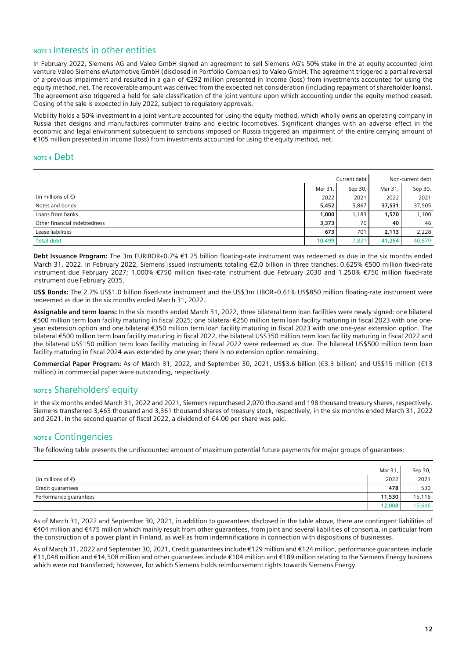### **NOTE 3** Interests in other entities

In February 2022, Siemens AG and Valeo GmbH signed an agreement to sell Siemens AG's 50% stake in the at equity accounted joint venture Valeo Siemens eAutomotive GmbH (disclosed in Portfolio Companies) to Valeo GmbH. The agreement triggered a partial reversal of a previous impairment and resulted in a gain of €292 million presented in Income (loss) from investments accounted for using the equity method, net. The recoverable amount was derived from the expected net consideration (including repayment of shareholder loans). The agreement also triggered a held for sale classification of the joint venture upon which accounting under the equity method ceased. Closing of the sale is expected in July 2022, subject to regulatory approvals.

Mobility holds a 50% investment in a joint venture accounted for using the equity method, which wholly owns an operating company in Russia that designs and manufactures commuter trains and electric locomotives. Significant changes with an adverse effect in the economic and legal environment subsequent to sanctions imposed on Russia triggered an impairment of the entire carrying amount of €105 million presented in Income (loss) from investments accounted for using the equity method, net.

### **NOTE 4** Debt

|                              |         | Current debt |         | Non-current debt |
|------------------------------|---------|--------------|---------|------------------|
|                              | Mar 31, | Sep 30,      | Mar 31, | Sep 30,          |
| (in millions of $\epsilon$ ) | 2022    | 2021         | 2022    | 2021             |
| Notes and bonds              | 5,452   | 5,867        | 37,531  | 37,505           |
| Loans from banks             | 1,000   | 1,183        | 1,570   | 1,100            |
| Other financial indebtedness | 3,373   | 70           | 40      | 46               |
| Lease liabilities            | 673     | 701          | 2,113   | 2,228            |
| <b>Total debt</b>            | 10,499  | 7,821        | 41,254  | 40,879           |

**Debt Issuance Program:** The 3m EURIBOR+0.7% €1.25 billion floating-rate instrument was redeemed as due in the six months ended March 31, 2022. In February 2022, Siemens issued instruments totaling €2.0 billion in three tranches: 0.625% €500 million fixed-rate instrument due February 2027; 1.000% €750 million fixed-rate instrument due February 2030 and 1.250% €750 million fixed-rate instrument due February 2035.

**US\$ Bonds:** The 2.7% US\$1.0 billion fixed-rate instrument and the US\$3m LIBOR+0.61% US\$850 million floating-rate instrument were redeemed as due in the six months ended March 31, 2022.

**Assignable and term loans:** In the six months ended March 31, 2022, three bilateral term loan facilities were newly signed: one bilateral €500 million term loan facility maturing in fiscal 2025; one bilateral €250 million term loan facility maturing in fiscal 2023 with one oneyear extension option and one bilateral €350 million term loan facility maturing in fiscal 2023 with one one-year extension option. The bilateral €500 million term loan facility maturing in fiscal 2022, the bilateral US\$350 million term loan facility maturing in fiscal 2022 and the bilateral US\$150 million term loan facility maturing in fiscal 2022 were redeemed as due. The bilateral US\$500 million term loan facility maturing in fiscal 2024 was extended by one year; there is no extension option remaining.

**Commercial Paper Program:** As of March 31, 2022, and September 30, 2021, US\$3.6 billion (€3.3 billion) and US\$15 million (€13 million) in commercial paper were outstanding, respectively.

### **NOTE 5** Shareholders' equity

In the six months ended March 31, 2022 and 2021, Siemens repurchased 2,070 thousand and 198 thousand treasury shares, respectively. Siemens transferred 3,463 thousand and 3,361 thousand shares of treasury stock, respectively, in the six months ended March 31, 2022 and 2021. In the second quarter of fiscal 2022, a dividend of €4.00 per share was paid.

### **NOTE 6** Contingencies

The following table presents the undiscounted amount of maximum potential future payments for major groups of guarantees:

|                              | Mar 31, | Sep 30, |
|------------------------------|---------|---------|
| (in millions of $\epsilon$ ) | 2022    | 2021    |
| Credit guarantees            | 478     | 530     |
| Performance guarantees       | 11,530  | 15,116  |
|                              | 12,008  | 15,646  |

As of March 31, 2022 and September 30, 2021, in addition to guarantees disclosed in the table above, there are contingent liabilities of €404 million and €475 million which mainly result from other guarantees, from joint and several liabilities of consortia, in particular from the construction of a power plant in Finland, as well as from indemnifications in connection with dispositions of businesses.

As of March 31, 2022 and September 30, 2021, Credit guarantees include €129 million and €124 million, performance guarantees include €11,048 million and €14,508 million and other guarantees include €104 million and €189 million relating to the Siemens Energy business which were not transferred; however, for which Siemens holds reimbursement rights towards Siemens Energy.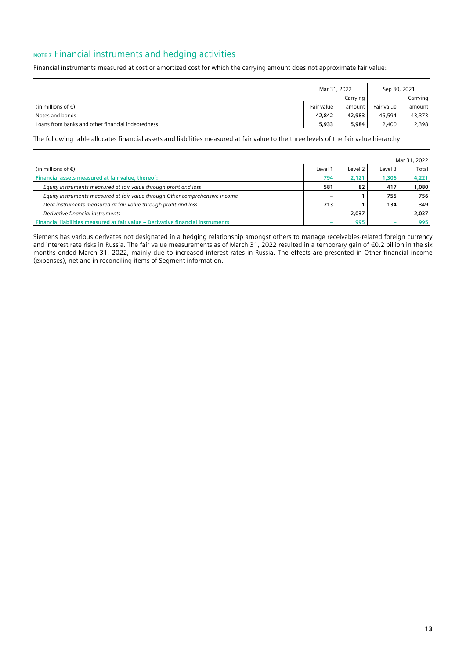# **NOTE 7** Financial instruments and hedging activities

Financial instruments measured at cost or amortized cost for which the carrying amount does not approximate fair value:

|                                                   |            | Mar 31, 2022 |            | Sep 30, 2021 |
|---------------------------------------------------|------------|--------------|------------|--------------|
|                                                   |            | Carrying     |            | Carrying     |
| (in millions of $\epsilon$ )                      | Fair value | amount I     | Fair value | amount       |
| Notes and bonds                                   | 42,842     | 42,983       | 45,594     | 43,373       |
| Loans from banks and other financial indebtedness | 5,933      | 5,984        | 2,400      | 2,398        |

The following table allocates financial assets and liabilities measured at fair value to the three levels of the fair value hierarchy:

|                                                                                 |       |         |         | Mar 31, 2022 |
|---------------------------------------------------------------------------------|-------|---------|---------|--------------|
| (in millions of $\epsilon$ )                                                    | Level | Level 2 | Level 3 | Total        |
| Financial assets measured at fair value, thereof:                               | 794   | 2.121   | 1,306   | 4,221        |
| Equity instruments measured at fair value through profit and loss               | 581   | 82      | 417     | 1,080        |
| Equity instruments measured at fair value through Other comprehensive income    |       |         | 755     | 756          |
| Debt instruments measured at fair value through profit and loss                 | 213   |         | 134     | 349          |
| Derivative financial instruments                                                |       | 2,037   |         | 2,037        |
| Financial liabilities measured at fair value - Derivative financial instruments |       | 995     |         | 995          |

Siemens has various derivates not designated in a hedging relationship amongst others to manage receivables-related foreign currency and interest rate risks in Russia. The fair value measurements as of March 31, 2022 resulted in a temporary gain of €0.2 billion in the six months ended March 31, 2022, mainly due to increased interest rates in Russia. The effects are presented in Other financial income (expenses), net and in reconciling items of Segment information.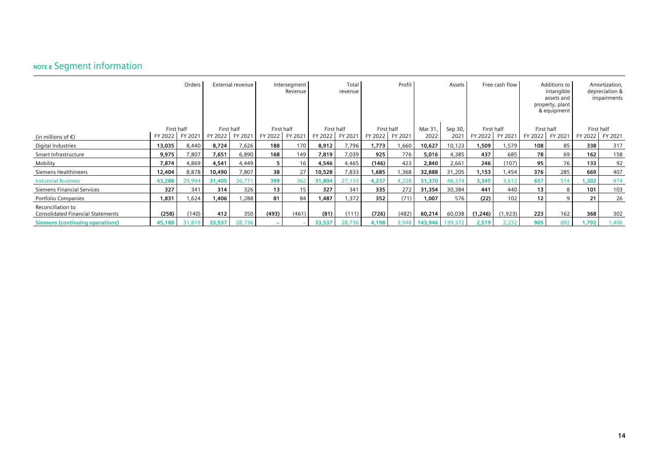# **NOTE 8** Segment information

|                                                               |            | Orders  |         | External revenue |         | Intersegment<br>Revenue |            | Total<br>revenue |            | Profit  |         | Assets  |            | Free cash flow |         | Additions to<br>intangible<br>assets and<br>property, plant<br>& equipment |         | Amortization,<br>depreciation &<br>impairments |
|---------------------------------------------------------------|------------|---------|---------|------------------|---------|-------------------------|------------|------------------|------------|---------|---------|---------|------------|----------------|---------|----------------------------------------------------------------------------|---------|------------------------------------------------|
|                                                               | First half |         |         | First half       |         | First half              | First half |                  | First half |         | Mar 31, | Sep 30, | First half |                |         | First half                                                                 |         | First half                                     |
| (in millions of $\epsilon$ )                                  | FY 2022    | FY 2021 | FY 2022 | FY 2021          | FY 2022 | FY 2021                 | FY 2022    | FY 2021          | FY 2022    | FY 2021 | 2022    | 202     | FY 2022    | FY 2021        | FY 2022 | FY 2021                                                                    | FY 2022 | FY 2021                                        |
| Digital Industries                                            | 13,035     | 8,440   | 8,724   | 7,626            | 188     | 170                     | 8,912      | 7,796            | 1,773      | ,660    | 10,627  | 10,123  | ,509       | 1,579          | 108     | 85                                                                         | 338     | 317                                            |
| Smart Infrastructure                                          | 9,975      | 7,807   | 7,651   | 6,890            | 168     | 149                     | 7,819      | 7,039            | 925        | 776     | 5,016   | 4,385   | 437        | 685            | 78      | 69                                                                         | 162     | 158                                            |
| Mobility                                                      | 7,874      | 4,869   | 4,541   | 4.449            | 5       | 16                      | 4,546      | 4,465            | (146)      | 423     | 2,840   | 2,661   | 246        | (107)          | 95      | 76                                                                         | 133     | 92                                             |
| Siemens Healthineers                                          | 12,404     | 8,878   | 10,490  | 7,807            | 38      | 27                      | 10,528     | 7,833            | 1,685      | .368    | 32,888  | 31,205  | 1,153      | 1,454          | 376     | 285                                                                        | 669     | 407                                            |
| <b>Industrial Business</b>                                    | 43,288     | 29,994  | 31,405  | 26,771           | 399     | 362                     | 31,804     | 27,133           | 4,237      | 4,228   | 51,370  | 48,374  | 3,345      | 3,612          | 657     | 514                                                                        | 1,302   | 974                                            |
| Siemens Financial Services                                    | 327        | 341     | 314     | 326              | 13      | 15                      | 327        | 341              | 335        | 272     | 31,354  | 30,384  | 441        | 440            | 13      |                                                                            | 101     | 103                                            |
| Portfolio Companies                                           | 1,831      | 1,624   | 1,406   | ,288             | 81      | 84                      | 1,487      | 1,372            | 352        | (71)    | 1,007   | 576     | (22)       | 102            | 12      |                                                                            | 21      | 26                                             |
| Reconciliation to<br><b>Consolidated Financial Statements</b> | (258)      | (140)   | 412     | 350              | (493)   | (461)                   | (81)       | (111)            | (726)      | (482)   | 60,214  | 60,038  | (1,246)    | (1,923)        | 223     | 162                                                                        | 368     | 302                                            |
| <b>Siemens (continuing operations)</b>                        | 45,188     | 31,819  | 33,537  | 28,736           |         |                         | 33,537     | 28,736           | 4,198      | 3,948   | 143,946 | 139,372 | 2,519      | 2,232          | 905     | 692                                                                        | 1,792   | 1,406                                          |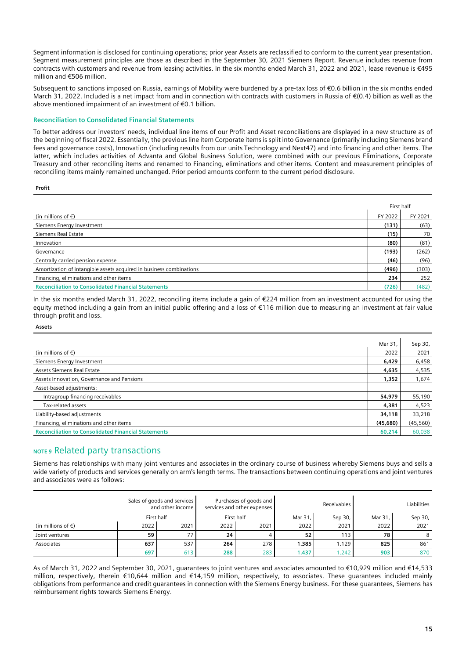Segment information is disclosed for continuing operations; prior year Assets are reclassified to conform to the current year presentation. Segment measurement principles are those as described in the September 30, 2021 Siemens Report. Revenue includes revenue from contracts with customers and revenue from leasing activities. In the six months ended March 31, 2022 and 2021, lease revenue is €495 million and €506 million.

Subsequent to sanctions imposed on Russia, earnings of Mobility were burdened by a pre-tax loss of €0.6 billion in the six months ended March 31, 2022. Included is a net impact from and in connection with contracts with customers in Russia of €(0.4) billion as well as the above mentioned impairment of an investment of €0.1 billion.

### **Reconciliation to Consolidated Financial Statements**

To better address our investors' needs, individual line items of our Profit and Asset reconciliations are displayed in a new structure as of the beginning of fiscal 2022. Essentially, the previous line item Corporate items is split into Governance (primarily including Siemens brand fees and governance costs), Innovation (including results from our units Technology and Next47) and into financing and other items. The latter, which includes activities of Advanta and Global Business Solution, were combined with our previous Eliminations, Corporate Treasury and other reconciling items and renamed to Financing, eliminations and other items. Content and measurement principles of reconciling items mainly remained unchanged. Prior period amounts conform to the current period disclosure.

#### **Profit**

|                                                                     | First half |         |
|---------------------------------------------------------------------|------------|---------|
| (in millions of $\epsilon$ )                                        | FY 2022    | FY 2021 |
| Siemens Energy Investment                                           | (131)      | (63)    |
| Siemens Real Estate                                                 | (15)       | 70      |
| Innovation                                                          | (80)       | (81)    |
| Governance                                                          | (193)      | (262)   |
| Centrally carried pension expense                                   | (46)       | (96)    |
| Amortization of intangible assets acquired in business combinations | (496)      | (303)   |
| Financing, eliminations and other items                             | 234        | 252     |
| <b>Reconciliation to Consolidated Financial Statements</b>          | (726)      | (482)   |

In the six months ended March 31, 2022, reconciling items include a gain of €224 million from an investment accounted for using the equity method including a gain from an initial public offering and a loss of €116 million due to measuring an investment at fair value through profit and loss.

#### **Assets**

|                                                            | Mar 31   | Sep 30,   |
|------------------------------------------------------------|----------|-----------|
| (in millions of $\epsilon$ )                               | 2022     | 2021      |
| Siemens Energy Investment                                  | 6,429    | 6,458     |
| Assets Siemens Real Estate                                 | 4,635    | 4,535     |
| Assets Innovation, Governance and Pensions                 | 1,352    | 1,674     |
| Asset-based adjustments:                                   |          |           |
| Intragroup financing receivables                           | 54,979   | 55,190    |
| Tax-related assets                                         | 4,381    | 4,523     |
| Liability-based adjustments                                | 34,118   | 33,218    |
| Financing, eliminations and other items                    | (45,680) | (45, 560) |
| <b>Reconciliation to Consolidated Financial Statements</b> | 60,214   | 60,038    |

### **NOTE 9** Related party transactions

Siemens has relationships with many joint ventures and associates in the ordinary course of business whereby Siemens buys and sells a wide variety of products and services generally on arm's length terms. The transactions between continuing operations and joint ventures and associates were as follows:

|                              |            | Sales of goods and services<br>and other income |      | Purchases of goods and<br>services and other expenses |         | Receivables |         | <b>Liabilities</b> |
|------------------------------|------------|-------------------------------------------------|------|-------------------------------------------------------|---------|-------------|---------|--------------------|
|                              | First half |                                                 |      | First half                                            | Mar 31, | Sep 30,     | Mar 31. | Sep 30,            |
| (in millions of $\epsilon$ ) | 2022       | 2021                                            | 2022 | 2021                                                  | 2022    | 2021        | 2022    | 2021               |
| Joint ventures               | 59         | 77                                              | 24   |                                                       | 52      | 113         | 78      | 8                  |
| Associates                   | 637        | 537                                             | 264  | 278                                                   | 1.385   | 1.129       | 825     | 861                |
|                              | 697        | 613                                             | 288  | 283                                                   | 1.437   | .242        | 903     | 870                |

As of March 31, 2022 and September 30, 2021, guarantees to joint ventures and associates amounted to €10,929 million and €14,533 million, respectively, therein €10,644 million and €14,159 million, respectively, to associates. These guarantees included mainly obligations from performance and credit guarantees in connection with the Siemens Energy business. For these guarantees, Siemens has reimbursement rights towards Siemens Energy.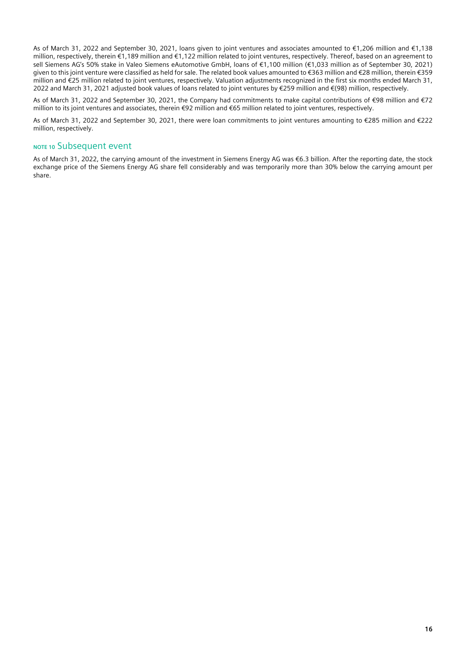As of March 31, 2022 and September 30, 2021, loans given to joint ventures and associates amounted to €1,206 million and €1,138 million, respectively, therein €1,189 million and €1,122 million related to joint ventures, respectively. Thereof, based on an agreement to sell Siemens AG's 50% stake in Valeo Siemens eAutomotive GmbH, loans of €1,100 million (€1,033 million as of September 30, 2021) given to this joint venture were classified as held for sale. The related book values amounted to €363 million and €28 million, therein €359 million and €25 million related to joint ventures, respectively. Valuation adjustments recognized in the first six months ended March 31, 2022 and March 31, 2021 adjusted book values of loans related to joint ventures by €259 million and €(98) million, respectively.

As of March 31, 2022 and September 30, 2021, the Company had commitments to make capital contributions of €98 million and €72 million to its joint ventures and associates, therein €92 million and €65 million related to joint ventures, respectively.

As of March 31, 2022 and September 30, 2021, there were loan commitments to joint ventures amounting to €285 million and €222 million, respectively.

### **NOTE 10** Subsequent event

As of March 31, 2022, the carrying amount of the investment in Siemens Energy AG was €6.3 billion. After the reporting date, the stock exchange price of the Siemens Energy AG share fell considerably and was temporarily more than 30% below the carrying amount per share.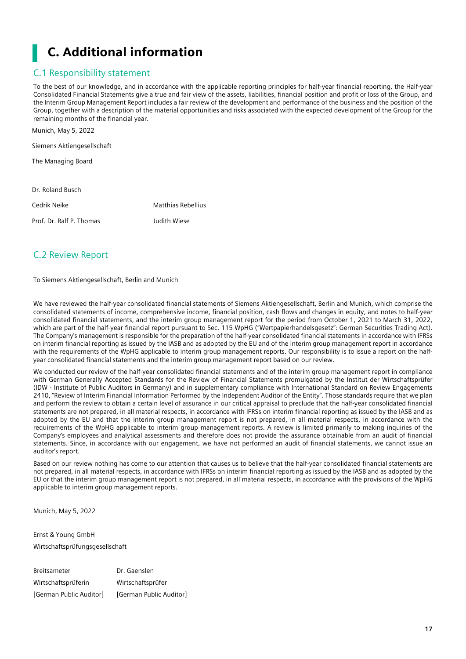# <span id="page-16-0"></span>C. Additional information

# <span id="page-16-1"></span>C.1 Responsibility statement

To the best of our knowledge, and in accordance with the applicable reporting principles for half-year financial reporting, the Half-year Consolidated Financial Statements give a true and fair view of the assets, liabilities, financial position and profit or loss of the Group, and the Interim Group Management Report includes a fair review of the development and performance of the business and the position of the Group, together with a description of the material opportunities and risks associated with the expected development of the Group for the remaining months of the financial year.

| MUILLII, MAY 3, ZUZZ       |                           |
|----------------------------|---------------------------|
| Siemens Aktiengesellschaft |                           |
| The Managing Board         |                           |
|                            |                           |
| Dr. Roland Busch           |                           |
| Cedrik Neike               | <b>Matthias Rebellius</b> |
| Prof Dr Ralf P Thomas      | aaailla Wi                |

# <span id="page-16-2"></span>C.2 Review Report

Munich, May 5, 2022

To Siemens Aktiengesellschaft, Berlin and Munich

We have reviewed the half-year consolidated financial statements of Siemens Aktiengesellschaft, Berlin and Munich, which comprise the consolidated statements of income, comprehensive income, financial position, cash flows and changes in equity, and notes to half-year consolidated financial statements, and the interim group management report for the period from October 1, 2021 to March 31, 2022, which are part of the half-year financial report pursuant to Sec. 115 WpHG ("Wertpapierhandelsgesetz": German Securities Trading Act). The Company's management is responsible for the preparation of the half-year consolidated financial statements in accordance with IFRSs on interim financial reporting as issued by the IASB and as adopted by the EU and of the interim group management report in accordance with the requirements of the WpHG applicable to interim group management reports. Our responsibility is to issue a report on the halfyear consolidated financial statements and the interim group management report based on our review.

We conducted our review of the half-year consolidated financial statements and of the interim group management report in compliance with German Generally Accepted Standards for the Review of Financial Statements promulgated by the Institut der Wirtschaftsprüfer (IDW - Institute of Public Auditors in Germany) and in supplementary compliance with International Standard on Review Engagements 2410, "Review of Interim Financial Information Performed by the Independent Auditor of the Entity". Those standards require that we plan and perform the review to obtain a certain level of assurance in our critical appraisal to preclude that the half-year consolidated financial statements are not prepared, in all material respects, in accordance with IFRSs on interim financial reporting as issued by the IASB and as adopted by the EU and that the interim group management report is not prepared, in all material respects, in accordance with the requirements of the WpHG applicable to interim group management reports. A review is limited primarily to making inquiries of the Company's employees and analytical assessments and therefore does not provide the assurance obtainable from an audit of financial statements. Since, in accordance with our engagement, we have not performed an audit of financial statements, we cannot issue an auditor's report.

Based on our review nothing has come to our attention that causes us to believe that the half-year consolidated financial statements are not prepared, in all material respects, in accordance with IFRSs on interim financial reporting as issued by the IASB and as adopted by the EU or that the interim group management report is not prepared, in all material respects, in accordance with the provisions of the WpHG applicable to interim group management reports.

Munich, May 5, 2022

Ernst & Young GmbH Wirtschaftsprüfungsgesellschaft

Breitsameter Dr. Gaenslen Wirtschaftsprüferin Wirtschaftsprüfer [German Public Auditor] [German Public Auditor]